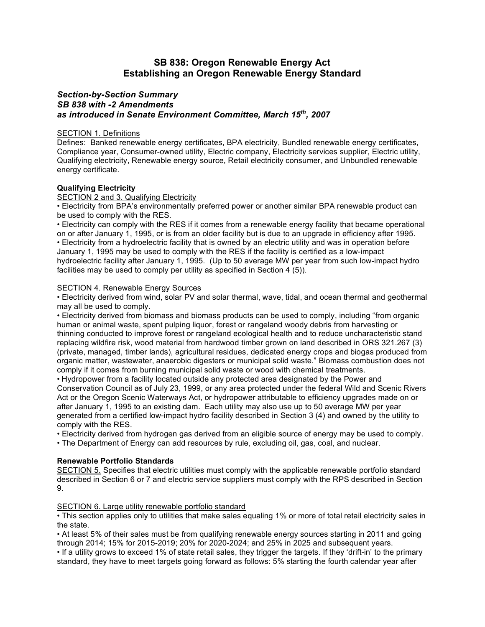# **SB 838: Oregon Renewable Energy Act Establishing an Oregon Renewable Energy Standard**

# *Section-by-Section Summary SB 838 with -2 Amendments as introduced in Senate Environment Committee, March 15th , 2007*

## SECTION 1. Definitions

Defines: Banked renewable energy certificates, BPA electricity, Bundled renewable energy certificates, Compliance year, Consumer-owned utility, Electric company, Electricity services supplier, Electric utility, Qualifying electricity, Renewable energy source, Retail electricity consumer, and Unbundled renewable energy certificate.

## **Qualifying Electricity**

#### SECTION 2 and 3. Qualifying Electricity

• Electricity from BPA's environmentally preferred power or another similar BPA renewable product can be used to comply with the RES.

• Electricity can comply with the RES if it comes from a renewable energy facility that became operational on or after January 1, 1995, or is from an older facility but is due to an upgrade in efficiency after 1995. • Electricity from a hydroelectric facility that is owned by an electric utility and was in operation before January 1, 1995 may be used to comply with the RES if the facility is certified as a low-impact hydroelectric facility after January 1, 1995. (Up to 50 average MW per year from such low-impact hydro facilities may be used to comply per utility as specified in Section 4 (5)).

#### SECTION 4. Renewable Energy Sources

• Electricity derived from wind, solar PV and solar thermal, wave, tidal, and ocean thermal and geothermal may all be used to comply.

• Electricity derived from biomass and biomass products can be used to comply, including "from organic human or animal waste, spent pulping liquor, forest or rangeland woody debris from harvesting or thinning conducted to improve forest or rangeland ecological health and to reduce uncharacteristic stand replacing wildfire risk, wood material from hardwood timber grown on land described in ORS 321.267 (3) (private, managed, timber lands), agricultural residues, dedicated energy crops and biogas produced from organic matter, wastewater, anaerobic digesters or municipal solid waste." Biomass combustion does not comply if it comes from burning municipal solid waste or wood with chemical treatments.

• Hydropower from a facility located outside any protected area designated by the Power and Conservation Council as of July 23, 1999, or any area protected under the federal Wild and Scenic Rivers Act or the Oregon Scenic Waterways Act, or hydropower attributable to efficiency upgrades made on or after January 1, 1995 to an existing dam. Each utility may also use up to 50 average MW per year generated from a certified low-impact hydro facility described in Section 3 (4) and owned by the utility to comply with the RES.

• Electricity derived from hydrogen gas derived from an eligible source of energy may be used to comply.

• The Department of Energy can add resources by rule, excluding oil, gas, coal, and nuclear.

## **Renewable Portfolio Standards**

SECTION 5. Specifies that electric utilities must comply with the applicable renewable portfolio standard described in Section 6 or 7 and electric service suppliers must comply with the RPS described in Section 9.

#### SECTION 6. Large utility renewable portfolio standard

• This section applies only to utilities that make sales equaling 1% or more of total retail electricity sales in the state.

• At least 5% of their sales must be from qualifying renewable energy sources starting in 2011 and going through 2014; 15% for 2015-2019; 20% for 2020-2024; and 25% in 2025 and subsequent years.

• If a utility grows to exceed 1% of state retail sales, they trigger the targets. If they 'drift-in' to the primary standard, they have to meet targets going forward as follows: 5% starting the fourth calendar year after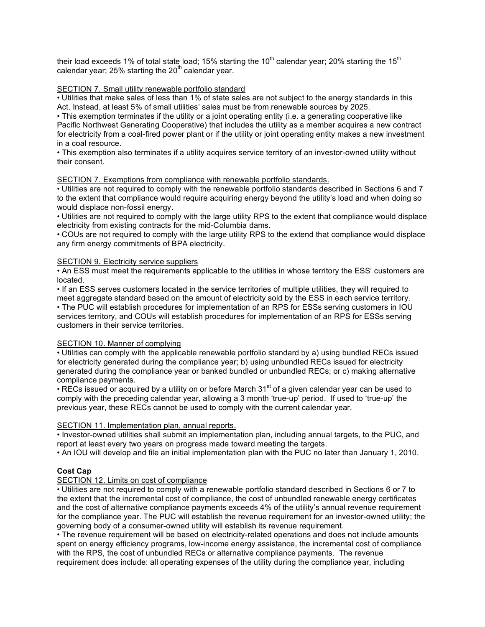their load exceeds 1% of total state load; 15% starting the  $10^{th}$  calendar year; 20% starting the  $15^{th}$ calendar year; 25% starting the  $20<sup>th</sup>$  calendar year.

# SECTION 7. Small utility renewable portfolio standard

• Utilities that make sales of less than 1% of state sales are not subject to the energy standards in this Act. Instead, at least 5% of small utilities' sales must be from renewable sources by 2025.

• This exemption terminates if the utility or a joint operating entity (i.e. a generating cooperative like Pacific Northwest Generating Cooperative) that includes the utility as a member acquires a new contract for electricity from a coal-fired power plant or if the utility or joint operating entity makes a new investment in a coal resource.

• This exemption also terminates if a utility acquires service territory of an investor-owned utility without their consent.

# SECTION 7. Exemptions from compliance with renewable portfolio standards.

• Utilities are not required to comply with the renewable portfolio standards described in Sections 6 and 7 to the extent that compliance would require acquiring energy beyond the utility's load and when doing so would displace non-fossil energy.

• Utilities are not required to comply with the large utility RPS to the extent that compliance would displace electricity from existing contracts for the mid-Columbia dams.

• COUs are not required to comply with the large utility RPS to the extend that compliance would displace any firm energy commitments of BPA electricity.

#### SECTION 9. Electricity service suppliers

• An ESS must meet the requirements applicable to the utilities in whose territory the ESS' customers are located.

• If an ESS serves customers located in the service territories of multiple utilities, they will required to meet aggregate standard based on the amount of electricity sold by the ESS in each service territory. • The PUC will establish procedures for implementation of an RPS for ESSs serving customers in IOU

services territory, and COUs will establish procedures for implementation of an RPS for ESSs serving customers in their service territories.

# SECTION 10. Manner of complying

• Utilities can comply with the applicable renewable portfolio standard by a) using bundled RECs issued for electricity generated during the compliance year; b) using unbundled RECs issued for electricity generated during the compliance year or banked bundled or unbundled RECs; or c) making alternative compliance payments.

• RECs issued or acquired by a utility on or before March 31<sup>st</sup> of a given calendar year can be used to comply with the preceding calendar year, allowing a 3 month 'true-up' period. If used to 'true-up' the previous year, these RECs cannot be used to comply with the current calendar year.

## SECTION 11. Implementation plan, annual reports.

• Investor-owned utilities shall submit an implementation plan, including annual targets, to the PUC, and report at least every two years on progress made toward meeting the targets.

• An IOU will develop and file an initial implementation plan with the PUC no later than January 1, 2010.

## **Cost Cap**

## SECTION 12. Limits on cost of compliance

• Utilities are not required to comply with a renewable portfolio standard described in Sections 6 or 7 to the extent that the incremental cost of compliance, the cost of unbundled renewable energy certificates and the cost of alternative compliance payments exceeds 4% of the utility's annual revenue requirement for the compliance year. The PUC will establish the revenue requirement for an investor-owned utility; the governing body of a consumer-owned utility will establish its revenue requirement.

• The revenue requirement will be based on electricity-related operations and does not include amounts spent on energy efficiency programs, low-income energy assistance, the incremental cost of compliance with the RPS, the cost of unbundled RECs or alternative compliance payments. The revenue requirement does include: all operating expenses of the utility during the compliance year, including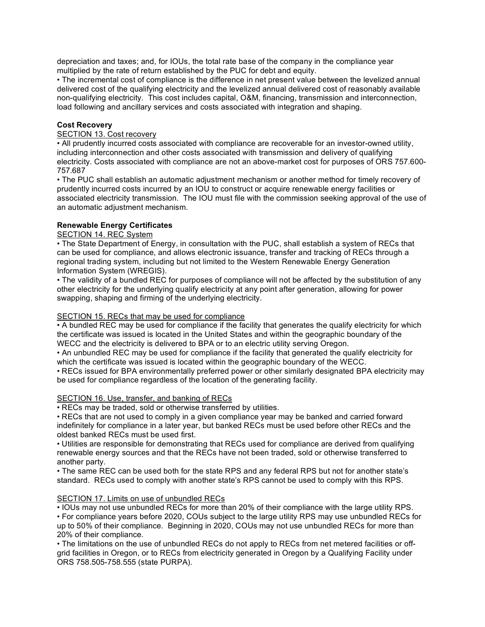depreciation and taxes; and, for IOUs, the total rate base of the company in the compliance year multiplied by the rate of return established by the PUC for debt and equity.

• The incremental cost of compliance is the difference in net present value between the levelized annual delivered cost of the qualifying electricity and the levelized annual delivered cost of reasonably available non-qualifying electricity. This cost includes capital, O&M, financing, transmission and interconnection, load following and ancillary services and costs associated with integration and shaping.

# **Cost Recovery**

# SECTION 13. Cost recovery

• All prudently incurred costs associated with compliance are recoverable for an investor-owned utility, including interconnection and other costs associated with transmission and delivery of qualifying electricity. Costs associated with compliance are not an above-market cost for purposes of ORS 757.600- 757.687

• The PUC shall establish an automatic adjustment mechanism or another method for timely recovery of prudently incurred costs incurred by an IOU to construct or acquire renewable energy facilities or associated electricity transmission. The IOU must file with the commission seeking approval of the use of an automatic adjustment mechanism.

# **Renewable Energy Certificates**

# SECTION 14. REC System

• The State Department of Energy, in consultation with the PUC, shall establish a system of RECs that can be used for compliance, and allows electronic issuance, transfer and tracking of RECs through a regional trading system, including but not limited to the Western Renewable Energy Generation Information System (WREGIS).

• The validity of a bundled REC for purposes of compliance will not be affected by the substitution of any other electricity for the underlying qualify electricity at any point after generation, allowing for power swapping, shaping and firming of the underlying electricity.

## SECTION 15. RECs that may be used for compliance

• A bundled REC may be used for compliance if the facility that generates the qualify electricity for which the certificate was issued is located in the United States and within the geographic boundary of the WECC and the electricity is delivered to BPA or to an electric utility serving Oregon.

• An unbundled REC may be used for compliance if the facility that generated the qualify electricity for which the certificate was issued is located within the geographic boundary of the WECC.

• RECs issued for BPA environmentally preferred power or other similarly designated BPA electricity may be used for compliance regardless of the location of the generating facility.

## SECTION 16. Use, transfer, and banking of RECs

• RECs may be traded, sold or otherwise transferred by utilities.

• RECs that are not used to comply in a given compliance year may be banked and carried forward indefinitely for compliance in a later year, but banked RECs must be used before other RECs and the oldest banked RECs must be used first.

• Utilities are responsible for demonstrating that RECs used for compliance are derived from qualifying renewable energy sources and that the RECs have not been traded, sold or otherwise transferred to another party.

• The same REC can be used both for the state RPS and any federal RPS but not for another state's standard. RECs used to comply with another state's RPS cannot be used to comply with this RPS.

# SECTION 17. Limits on use of unbundled RECs

• IOUs may not use unbundled RECs for more than 20% of their compliance with the large utility RPS.

• For compliance years before 2020, COUs subject to the large utility RPS may use unbundled RECs for up to 50% of their compliance. Beginning in 2020, COUs may not use unbundled RECs for more than 20% of their compliance.

• The limitations on the use of unbundled RECs do not apply to RECs from net metered facilities or offgrid facilities in Oregon, or to RECs from electricity generated in Oregon by a Qualifying Facility under ORS 758.505-758.555 (state PURPA).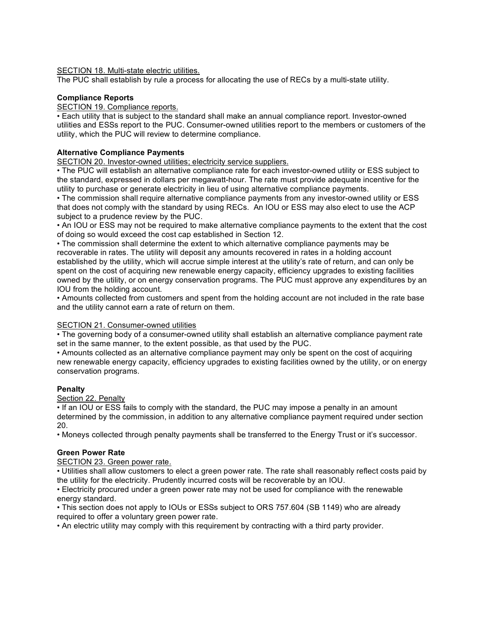SECTION 18. Multi-state electric utilities.

The PUC shall establish by rule a process for allocating the use of RECs by a multi-state utility.

# **Compliance Reports**

### SECTION 19. Compliance reports.

• Each utility that is subject to the standard shall make an annual compliance report. Investor-owned utilities and ESSs report to the PUC. Consumer-owned utilities report to the members or customers of the utility, which the PUC will review to determine compliance.

# **Alternative Compliance Payments**

SECTION 20. Investor-owned utilities; electricity service suppliers.

• The PUC will establish an alternative compliance rate for each investor-owned utility or ESS subject to the standard, expressed in dollars per megawatt-hour. The rate must provide adequate incentive for the utility to purchase or generate electricity in lieu of using alternative compliance payments.

• The commission shall require alternative compliance payments from any investor-owned utility or ESS that does not comply with the standard by using RECs. An IOU or ESS may also elect to use the ACP subject to a prudence review by the PUC.

• An IOU or ESS may not be required to make alternative compliance payments to the extent that the cost of doing so would exceed the cost cap established in Section 12.

• The commission shall determine the extent to which alternative compliance payments may be recoverable in rates. The utility will deposit any amounts recovered in rates in a holding account established by the utility, which will accrue simple interest at the utility's rate of return, and can only be spent on the cost of acquiring new renewable energy capacity, efficiency upgrades to existing facilities owned by the utility, or on energy conservation programs. The PUC must approve any expenditures by an IOU from the holding account.

• Amounts collected from customers and spent from the holding account are not included in the rate base and the utility cannot earn a rate of return on them.

## SECTION 21. Consumer-owned utilities

• The governing body of a consumer-owned utility shall establish an alternative compliance payment rate set in the same manner, to the extent possible, as that used by the PUC.

• Amounts collected as an alternative compliance payment may only be spent on the cost of acquiring new renewable energy capacity, efficiency upgrades to existing facilities owned by the utility, or on energy conservation programs.

# **Penalty**

Section 22. Penalty

• If an IOU or ESS fails to comply with the standard, the PUC may impose a penalty in an amount determined by the commission, in addition to any alternative compliance payment required under section 20.

• Moneys collected through penalty payments shall be transferred to the Energy Trust or it's successor.

## **Green Power Rate**

## SECTION 23. Green power rate.

• Utilities shall allow customers to elect a green power rate. The rate shall reasonably reflect costs paid by the utility for the electricity. Prudently incurred costs will be recoverable by an IOU.

• Electricity procured under a green power rate may not be used for compliance with the renewable energy standard.

• This section does not apply to IOUs or ESSs subject to ORS 757.604 (SB 1149) who are already required to offer a voluntary green power rate.

• An electric utility may comply with this requirement by contracting with a third party provider.